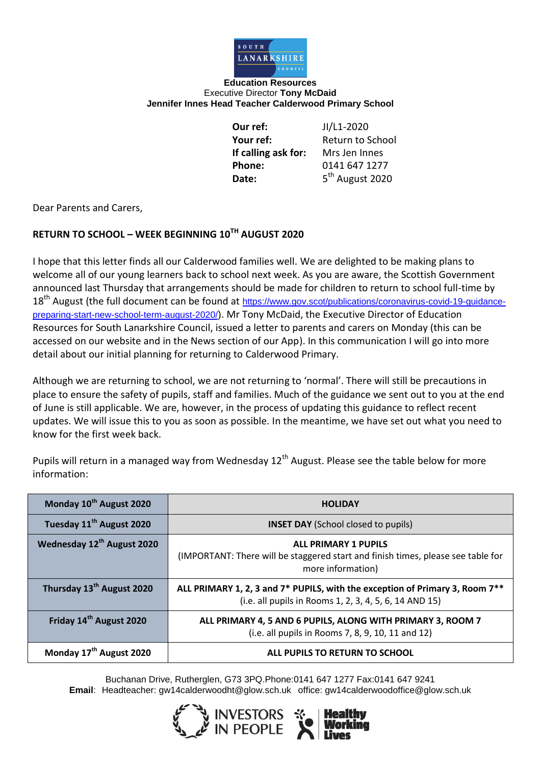

**Education Resources** Executive Director **Tony McDaid Jennifer Innes Head Teacher Calderwood Primary School**

> **Our ref:** JI/L1-2020 **Your ref:** Return to School **If calling ask for:** Mrs Jen Innes **Phone:** 0141 647 1277 Date:

5<sup>th</sup> August 2020

Dear Parents and Carers,

## **RETURN TO SCHOOL – WEEK BEGINNING 10TH AUGUST 2020**

I hope that this letter finds all our Calderwood families well. We are delighted to be making plans to welcome all of our young learners back to school next week. As you are aware, the Scottish Government announced last Thursday that arrangements should be made for children to return to school full-time by 18<sup>th</sup> August (the full document can be found at [https://www.gov.scot/publications/coronavirus-covid-19-guidance](https://www.gov.scot/publications/coronavirus-covid-19-guidance-preparing-start-new-school-term-august-2020/)[preparing-start-new-school-term-august-2020/](https://www.gov.scot/publications/coronavirus-covid-19-guidance-preparing-start-new-school-term-august-2020/)). Mr Tony McDaid, the Executive Director of Education Resources for South Lanarkshire Council, issued a letter to parents and carers on Monday (this can be accessed on our website and in the News section of our App). In this communication I will go into more detail about our initial planning for returning to Calderwood Primary.

Although we are returning to school, we are not returning to 'normal'. There will still be precautions in place to ensure the safety of pupils, staff and families. Much of the guidance we sent out to you at the end of June is still applicable. We are, however, in the process of updating this guidance to reflect recent updates. We will issue this to you as soon as possible. In the meantime, we have set out what you need to know for the first week back.

Pupils will return in a managed way from Wednesday 12<sup>th</sup> August. Please see the table below for more information:

| Monday 10th August 2020               | <b>HOLIDAY</b>                                                                                                                         |  |  |
|---------------------------------------|----------------------------------------------------------------------------------------------------------------------------------------|--|--|
| Tuesday 11 <sup>th</sup> August 2020  | <b>INSET DAY</b> (School closed to pupils)                                                                                             |  |  |
| Wednesday 12th August 2020            | <b>ALL PRIMARY 1 PUPILS</b><br>(IMPORTANT: There will be staggered start and finish times, please see table for<br>more information)   |  |  |
| Thursday 13 <sup>th</sup> August 2020 | ALL PRIMARY 1, 2, 3 and 7* PUPILS, with the exception of Primary 3, Room 7**<br>(i.e. all pupils in Rooms 1, 2, 3, 4, 5, 6, 14 AND 15) |  |  |
| Friday 14 <sup>th</sup> August 2020   | ALL PRIMARY 4, 5 AND 6 PUPILS, ALONG WITH PRIMARY 3, ROOM 7<br>(i.e. all pupils in Rooms 7, 8, 9, 10, 11 and 12)                       |  |  |
| Monday 17 <sup>th</sup> August 2020   | ALL PUPILS TO RETURN TO SCHOOL                                                                                                         |  |  |

Buchanan Drive, Rutherglen, G73 3PQ.Phone:0141 647 1277 Fax:0141 647 9241 **Email**: Headteacher: gw14calderwoodht@glow.sch.uk office: gw14calderwoodoffice@glow.sch.uk

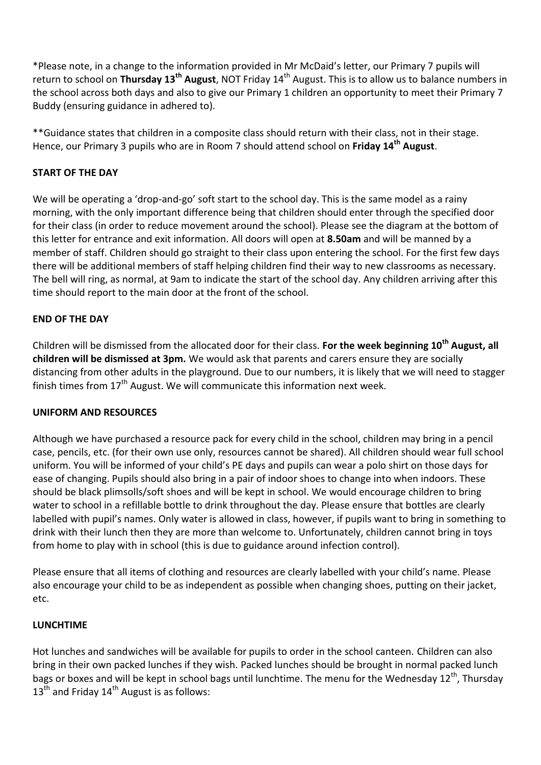\*Please note, in a change to the information provided in Mr McDaid's letter, our Primary 7 pupils will return to school on **Thursday 13th August**, NOT Friday 14th August. This is to allow us to balance numbers in the school across both days and also to give our Primary 1 children an opportunity to meet their Primary 7 Buddy (ensuring guidance in adhered to).

\*\*Guidance states that children in a composite class should return with their class, not in their stage. Hence, our Primary 3 pupils who are in Room 7 should attend school on **Friday 14th August**.

### **START OF THE DAY**

We will be operating a 'drop-and-go' soft start to the school day. This is the same model as a rainy morning, with the only important difference being that children should enter through the specified door for their class (in order to reduce movement around the school). Please see the diagram at the bottom of this letter for entrance and exit information. All doors will open at **8.50am** and will be manned by a member of staff. Children should go straight to their class upon entering the school. For the first few days there will be additional members of staff helping children find their way to new classrooms as necessary. The bell will ring, as normal, at 9am to indicate the start of the school day. Any children arriving after this time should report to the main door at the front of the school.

### **END OF THE DAY**

Children will be dismissed from the allocated door for their class. **For the week beginning 10th August, all children will be dismissed at 3pm.** We would ask that parents and carers ensure they are socially distancing from other adults in the playground. Due to our numbers, it is likely that we will need to stagger finish times from  $17<sup>th</sup>$  August. We will communicate this information next week.

### **UNIFORM AND RESOURCES**

Although we have purchased a resource pack for every child in the school, children may bring in a pencil case, pencils, etc. (for their own use only, resources cannot be shared). All children should wear full school uniform. You will be informed of your child's PE days and pupils can wear a polo shirt on those days for ease of changing. Pupils should also bring in a pair of indoor shoes to change into when indoors. These should be black plimsolls/soft shoes and will be kept in school. We would encourage children to bring water to school in a refillable bottle to drink throughout the day. Please ensure that bottles are clearly labelled with pupil's names. Only water is allowed in class, however, if pupils want to bring in something to drink with their lunch then they are more than welcome to. Unfortunately, children cannot bring in toys from home to play with in school (this is due to guidance around infection control).

Please ensure that all items of clothing and resources are clearly labelled with your child's name. Please also encourage your child to be as independent as possible when changing shoes, putting on their jacket, etc.

### **LUNCHTIME**

Hot lunches and sandwiches will be available for pupils to order in the school canteen. Children can also bring in their own packed lunches if they wish. Packed lunches should be brought in normal packed lunch bags or boxes and will be kept in school bags until lunchtime. The menu for the Wednesday 12<sup>th</sup>, Thursday  $13<sup>th</sup>$  and Friday  $14<sup>th</sup>$  August is as follows: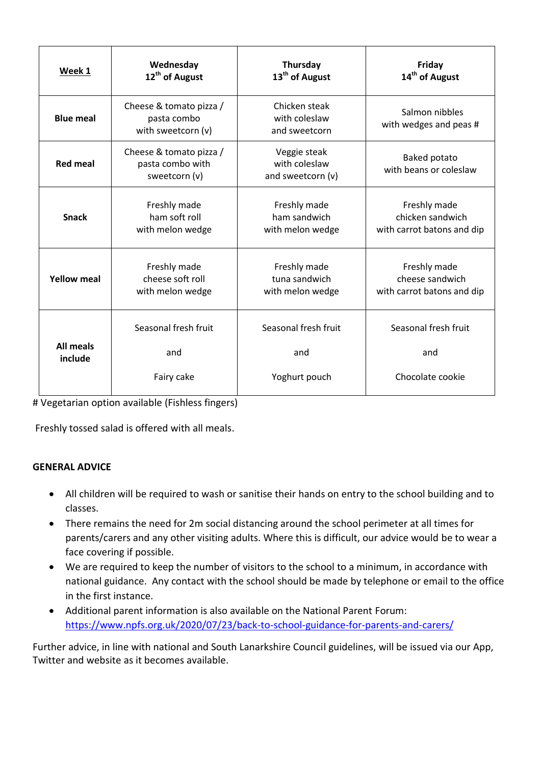| Week 1                      | Wednesday                                                    | Thursday                                           | Friday                                          |
|-----------------------------|--------------------------------------------------------------|----------------------------------------------------|-------------------------------------------------|
|                             | 12 <sup>th</sup> of August                                   | 13 <sup>th</sup> of August                         | 14 <sup>th</sup> of August                      |
| <b>Blue meal</b>            | Cheese & tomato pizza /<br>pasta combo<br>with sweetcorn (v) | Chicken steak<br>with coleslaw<br>and sweetcorn    | Salmon nibbles<br>with wedges and peas #        |
| <b>Red meal</b>             | Cheese & tomato pizza /<br>pasta combo with<br>sweetcorn (v) | Veggie steak<br>with coleslaw<br>and sweetcorn (v) | Baked potato<br>with beans or coleslaw          |
| <b>Snack</b>                | Freshly made                                                 | Freshly made                                       | Freshly made                                    |
|                             | ham soft roll                                                | ham sandwich                                       | chicken sandwich                                |
|                             | with melon wedge                                             | with melon wedge                                   | with carrot batons and dip                      |
| <b>Yellow meal</b>          | Freshly made                                                 | Freshly made                                       | Freshly made                                    |
|                             | cheese soft roll                                             | tuna sandwich                                      | cheese sandwich                                 |
|                             | with melon wedge                                             | with melon wedge                                   | with carrot batons and dip                      |
| <b>All meals</b><br>include | Seasonal fresh fruit<br>and<br>Fairy cake                    | Seasonal fresh fruit<br>and<br>Yoghurt pouch       | Seasonal fresh fruit<br>and<br>Chocolate cookie |

# Vegetarian option available (Fishless fingers)

Freshly tossed salad is offered with all meals.

## **GENERAL ADVICE**

- All children will be required to wash or sanitise their hands on entry to the school building and to classes.
- There remains the need for 2m social distancing around the school perimeter at all times for parents/carers and any other visiting adults. Where this is difficult, our advice would be to wear a face covering if possible.
- We are required to keep the number of visitors to the school to a minimum, in accordance with national guidance. Any contact with the school should be made by telephone or email to the office in the first instance.
- Additional parent information is also available on the National Parent Forum: <https://www.npfs.org.uk/2020/07/23/back-to-school-guidance-for-parents-and-carers/>

Further advice, in line with national and South Lanarkshire Council guidelines, will be issued via our App, Twitter and website as it becomes available.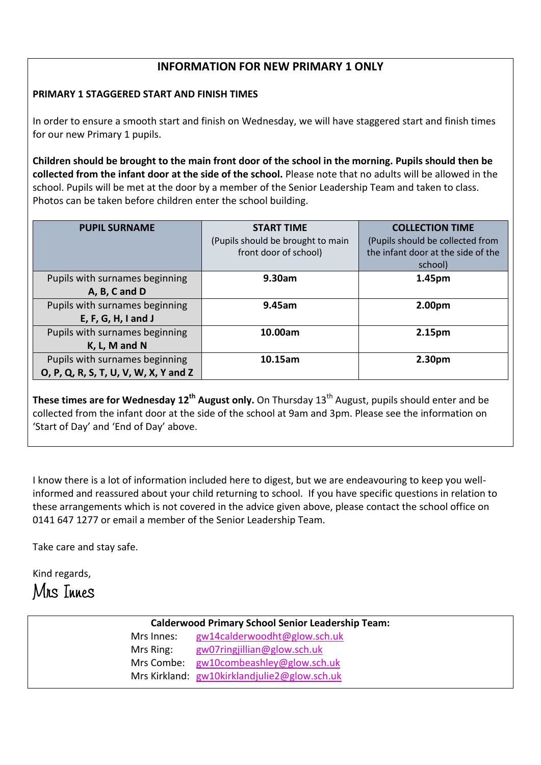# **INFORMATION FOR NEW PRIMARY 1 ONLY**

### **PRIMARY 1 STAGGERED START AND FINISH TIMES**

In order to ensure a smooth start and finish on Wednesday, we will have staggered start and finish times for our new Primary 1 pupils.

**Children should be brought to the main front door of the school in the morning. Pupils should then be collected from the infant door at the side of the school.** Please note that no adults will be allowed in the school. Pupils will be met at the door by a member of the Senior Leadership Team and taken to class. Photos can be taken before children enter the school building.

| <b>PUPIL SURNAME</b>                  | <b>START TIME</b>                 | <b>COLLECTION TIME</b>             |
|---------------------------------------|-----------------------------------|------------------------------------|
|                                       | (Pupils should be brought to main | (Pupils should be collected from   |
|                                       | front door of school)             | the infant door at the side of the |
|                                       |                                   | school)                            |
| Pupils with surnames beginning        | 9.30am                            | 1.45pm                             |
| A, B, C and D                         |                                   |                                    |
| Pupils with surnames beginning        | 9.45am                            | 2.00pm                             |
| $E, F, G, H, I$ and J                 |                                   |                                    |
| Pupils with surnames beginning        | 10.00am                           | 2.15pm                             |
| K, L, M and N                         |                                   |                                    |
| Pupils with surnames beginning        | 10.15am                           | 2.30 <sub>pm</sub>                 |
| O, P, Q, R, S, T, U, V, W, X, Y and Z |                                   |                                    |

**These times are for Wednesday 12th August only.** On Thursday 13th August, pupils should enter and be collected from the infant door at the side of the school at 9am and 3pm. Please see the information on 'Start of Day' and 'End of Day' above.

I know there is a lot of information included here to digest, but we are endeavouring to keep you wellinformed and reassured about your child returning to school. If you have specific questions in relation to these arrangements which is not covered in the advice given above, please contact the school office on 0141 647 1277 or email a member of the Senior Leadership Team.

Take care and stay safe.

Kind regards,



| <b>Calderwood Primary School Senior Leadership Team:</b> |                                              |  |
|----------------------------------------------------------|----------------------------------------------|--|
| Mrs Innes:                                               | gw14calderwoodht@glow.sch.uk                 |  |
| Mrs Ring:                                                | gw07ringjillian@glow.sch.uk                  |  |
| Mrs Combe:                                               | gw10combeashley@glow.sch.uk                  |  |
|                                                          | Mrs Kirkland: gw10kirklandjulie2@glow.sch.uk |  |